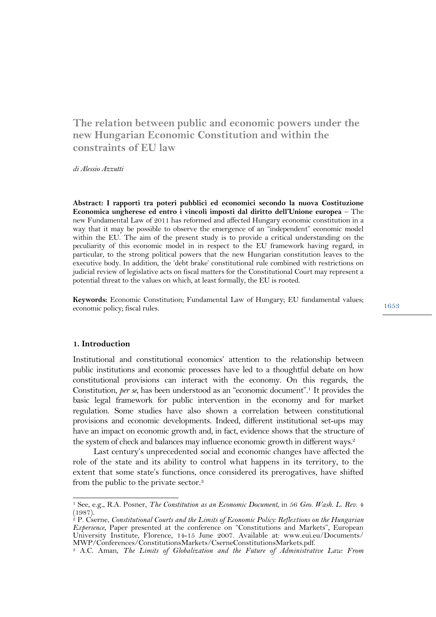# **The relation between public and economic powers under the new Hungarian Economic Constitution and within the constraints of EU law**

*di Alessio Azzutti*

**Abstract: I rapporti tra poteri pubblici ed economici secondo la nuova Costituzione Economica ungherese ed entro i vincoli imposti dal diritto dell'Unione europea** – The new Fundamental Law of 2011 has reformed and affected Hungary economic constitution in a way that it may be possible to observe the emergence of an "independent" economic model within the EU. The aim of the present study is to provide a critical understanding on the peculiarity of this economic model in in respect to the EU framework having regard, in particular, to the strong political powers that the new Hungarian constitution leaves to the executive body. In addition, the 'debt brake' constitutional rule combined with restrictions on judicial review of legislative acts on fiscal matters for the Constitutional Court may represent a potential threat to the values on which, at least formally, the EU is rooted.

**Keywords:** Economic Constitution; Fundamental Law of Hungary; EU fundamental values; economic policy; fiscal rules.

1653

#### **1. Introduction**

l

Institutional and constitutional economics' attention to the relationship between public institutions and economic processes have led to a thoughtful debate on how constitutional provisions can interact with the economy. On this regards, the Constitution, *per se*, has been understood as an "economic document".<sup>1</sup> It provides the basic legal framework for public intervention in the economy and for market regulation. Some studies have also shown a correlation between constitutional provisions and economic developments. Indeed, different institutional set-ups may have an impact on economic growth and, in fact, evidence shows that the structure of the system of check and balances may influence economic growth in different ways. 2

Last century's unprecedented social and economic changes have affected the role of the state and its ability to control what happens in its territory, to the extent that some state's functions, once considered its prerogatives, have shifted from the public to the private sector. 3

<sup>1</sup> See, e.g., R.A. Posner, *The Constitution as an Economic Document*, in 56 *Geo. Wash. L. Rev.* 4 (1987).

<sup>2</sup> P. Cserne, *Constitutional Courts and the Limits of Economic Policy: Reflextions on the Hungarian Experience*, Paper presented at the conference on "Constitutions and Markets", European University Institute, Florence, 14-15 June 2007. Available at: www.eui.eu/Documents/

<sup>&</sup>lt;sup>3</sup> A.C. Aman, *The Limits of Globalization and the Future of Administrative Law: From*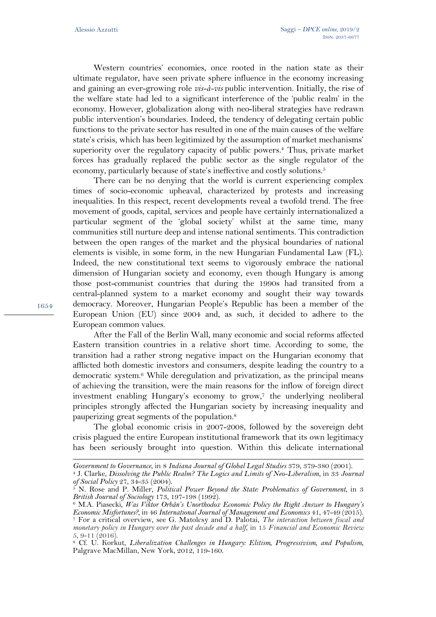Western countries' economies, once rooted in the nation state as their ultimate regulator, have seen private sphere influence in the economy increasing and gaining an ever-growing role *vis-à-vis* public intervention. Initially, the rise of the welfare state had led to a significant interference of the 'public realm' in the economy. However, globalization along with neo-liberal strategies have redrawn public intervention's boundaries. Indeed, the tendency of delegating certain public functions to the private sector has resulted in one of the main causes of the welfare state's crisis, which has been legitimized by the assumption of market mechanisms' superiority over the regulatory capacity of public powers. <sup>4</sup> Thus, private market forces has gradually replaced the public sector as the single regulator of the economy, particularly because of state's ineffective and costly solutions. 5

There can be no denying that the world is current experiencing complex times of socio-economic upheaval, characterized by protests and increasing inequalities. In this respect, recent developments reveal a twofold trend. The free movement of goods, capital, services and people have certainly internationalized a particular segment of the 'global society' whilst at the same time, many communities still nurture deep and intense national sentiments. This contradiction between the open ranges of the market and the physical boundaries of national elements is visible, in some form, in the new Hungarian Fundamental Law (FL). Indeed, the new constitutional text seems to vigorously embrace the national dimension of Hungarian society and economy, even though Hungary is among those post-communist countries that during the 1990s had transited from a central-planned system to a market economy and sought their way towards democracy. Moreover, Hungarian People's Republic has been a member of the European Union (EU) since 2004 and, as such, it decided to adhere to the European common values.

After the Fall of the Berlin Wall, many economic and social reforms affected Eastern transition countries in a relative short time. According to some, the transition had a rather strong negative impact on the Hungarian economy that afflicted both domestic investors and consumers, despite leading the country to a democratic system. <sup>6</sup> While deregulation and privatization, as the principal means of achieving the transition, were the main reasons for the inflow of foreign direct investment enabling Hungary's economy to grow, <sup>7</sup> the underlying neoliberal principles strongly affected the Hungarian society by increasing inequality and pauperizing great segments of the population. 8

The global economic crisis in 2007-2008, followed by the sovereign debt crisis plagued the entire European institutional framework that its own legitimacy has been seriously brought into question. Within this delicate international

1654

l

*Government to Governance*, in 8 *Indiana Journal of Global Legal Studies* 379, 379-380 (2001).

<sup>4</sup> J. Clarke, *Dissolving the Public Realm? The Logics and Limits of Neo-Liberalism*, in 33 *Journal of Social Policy* 27, 34-35 (2004).<br><sup>5</sup> N. Ross and D. *XIII* 

<sup>5</sup> N. Rose and P. Miller, *Political Power Beyond the State: Problematics of Government*, in 3 *British Journal of Sociology* 173, 197-198 (1992).

<sup>6</sup> M.A. Piasecki, *Was Viktor Orbán's Unorthodox Economic Policy the Right Answer to Hungary's Economic Misfortunes?*, in 46 *International Journal of Management and Economics* 41, 47-49 (2015). <sup>7</sup> For a critical overview, see G. Matolcsy and D. Palotai, *The interaction between fiscal and monetary policy in Hungary over the past decade and a half*, in 15 *Financial and Economic Review* 5, 9-11 (2016).

<sup>8</sup> Cf. U. Korkut, *Liberalization Challenges in Hungary: Elitism, Progressivism, and Populism*, Palgrave MacMillan, New York, 2012, 119-160.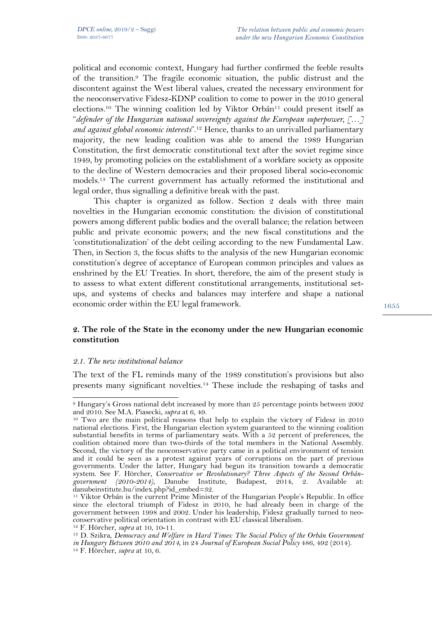political and economic context, Hungary had further confirmed the feeble results of the transition. <sup>9</sup> The fragile economic situation, the public distrust and the discontent against the West liberal values, created the necessary environment for the neoconservative Fidesz-KDNP coalition to come to power in the 2010 general elections.<sup>10</sup> The winning coalition led by Viktor Orbán<sup>11</sup> could present itself as "*defender of the Hungarian national sovereignty against the European superpower, […] and against global economic interests*". <sup>12</sup> Hence, thanks to an unrivalled parliamentary majority, the new leading coalition was able to amend the 1989 Hungarian Constitution, the first democratic constitutional text after the soviet regime since 1949, by promoting policies on the establishment of a workfare society as opposite to the decline of Western democracies and their proposed liberal socio-economic models. <sup>13</sup> The current government has actually reformed the institutional and legal order, thus signalling a definitive break with the past.

This chapter is organized as follow. Section 2 deals with three main novelties in the Hungarian economic constitution: the division of constitutional powers among different public bodies and the overall balance; the relation between public and private economic powers; and the new fiscal constitutions and the 'constitutionalization' of the debt ceiling according to the new Fundamental Law. Then, in Section 3, the focus shifts to the analysis of the new Hungarian economic constitution's degree of acceptance of European common principles and values as enshrined by the EU Treaties. In short, therefore, the aim of the present study is to assess to what extent different constitutional arrangements, institutional setups, and systems of checks and balances may interfere and shape a national economic order within the EU legal framework.

## **2. The role of the State in the economy under the new Hungarian economic constitution**

#### *2.1. The new institutional balance*

The text of the FL reminds many of the 1989 constitution's provisions but also presents many significant novelties. <sup>14</sup> These include the reshaping of tasks and

 $\overline{a}$ <sup>9</sup> Hungary's Gross national debt increased by more than 25 percentage points between 2002 and 2010. See M.A. Piasecki, *supra* at 6, 49.

<sup>&</sup>lt;sup>10</sup> Two are the main political reasons that help to explain the victory of Fidesz in 2010 national elections. First, the Hungarian election system guaranteed to the winning coalition substantial benefits in terms of parliamentary seats. With a 52 percent of preferences, the coalition obtained more than two-thirds of the total members in the National Assembly. Second, the victory of the neoconservative party came in a political environment of tension and it could be seen as a protest against years of corruptions on the part of previous governments. Under the latter, Hungary had begun its transition towards a democratic system. See F. Hörcher, *Conservative or Revolutionary? Three Aspects of the Second Orbángovernment (2010-2014)*, Danube Institute, Budapest, 2014, 2. Available at: danubeinstitute.hu/index.php?id\_embed=32.

<sup>&</sup>lt;sup>11</sup> Viktor Orbán is the current Prime Minister of the Hungarian People's Republic. In office since the electoral triumph of Fidesz in 2010, he had already been in charge of the government between 1998 and 2002. Under his leadership, Fidesz gradually turned to neo-<br>conservative political orientation in contrast with EU classical liberalism.<br><sup>12</sup> F. Hörcher, *supra* at 10, 10-11.

<sup>&</sup>lt;sup>13</sup> D. Szikra, *Democracy and Welfare in Hard Times: The Social Policy of the Orbán Government in Hungary Between 2010 and 2014*, in 24 *Journal of European Social Policy* 486, 492 (2014). <sup>14</sup> F. Hörcher, *supra* at 10, 6.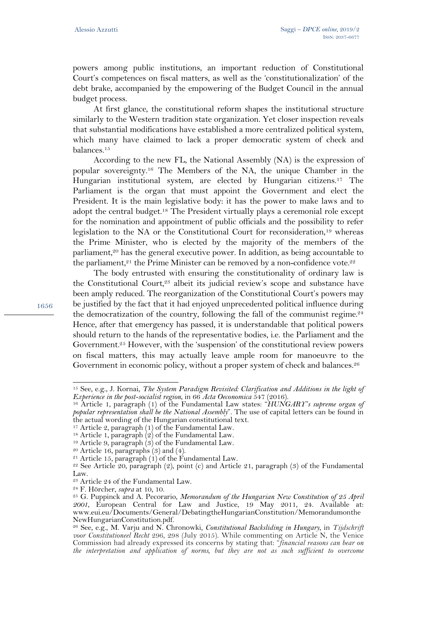powers among public institutions, an important reduction of Constitutional Court's competences on fiscal matters, as well as the 'constitutionalization' of the debt brake, accompanied by the empowering of the Budget Council in the annual budget process.

At first glance, the constitutional reform shapes the institutional structure similarly to the Western tradition state organization. Yet closer inspection reveals that substantial modifications have established a more centralized political system, which many have claimed to lack a proper democratic system of check and balances. 15

According to the new FL, the National Assembly (NA) is the expression of popular sovereignty.16 The Members of the NA, the unique Chamber in the Hungarian institutional system, are elected by Hungarian citizens.17 The Parliament is the organ that must appoint the Government and elect the President. It is the main legislative body: it has the power to make laws and to adopt the central budget.18 The President virtually plays a ceremonial role except for the nomination and appointment of public officials and the possibility to refer legislation to the NA or the Constitutional Court for reconsideration,19 whereas the Prime Minister, who is elected by the majority of the members of the parliament,<sup>20</sup> has the general executive power. In addition, as being accountable to the parliament, $21$  the Prime Minister can be removed by a non-confidence vote. $22$ 

The body entrusted with ensuring the constitutionality of ordinary law is the Constitutional Court,<sup>23</sup> albeit its judicial review's scope and substance have been amply reduced. The reorganization of the Constitutional Court's powers may be justified by the fact that it had enjoyed unprecedented political influence during the democratization of the country, following the fall of the communist regime.<sup>24</sup> Hence, after that emergency has passed, it is understandable that political powers should return to the hands of the representative bodies, i.e. the Parliament and the Government. <sup>25</sup> However, with the 'suspension' of the constitutional review powers on fiscal matters, this may actually leave ample room for manoeuvre to the Government in economic policy, without a proper system of check and balances.<sup>26</sup>

1656

l

<sup>15</sup> See, e.g., J. Kornai, *The System Paradigm Revisited: Clarification and Additions in the light of Experience in the post-socialist region*, in 66 *Acta Oeconomica* 547 (2016).

<sup>16</sup> Article 1, paragraph (1) of the Fundamental Law states: "*HUNGARY's supreme organ of popular representation shall be the National Assembly*". The use of capital letters can be found in the actual wording of the Hungarian constitutional text.

<sup>17</sup> Article 2, paragraph (1) of the Fundamental Law. 18 Article 1, paragraph (2) of the Fundamental Law.

<sup>&</sup>lt;sup>19</sup> Article 9, paragraph  $(3)$  of the Fundamental Law.

 $20$  Article 16, paragraphs  $(3)$  and  $(4)$ .

 $21$  Article 15, paragraph (1) of the Fundamental Law.

 $22$  See Article 20, paragraph (2), point (c) and Article 21, paragraph (3) of the Fundamental Law.

<sup>23</sup> Article 24 of the Fundamental Law.

<sup>24</sup> F. Hörcher, *supra* at 10, 10.

<sup>25</sup> G. Puppinck and A. Pecorario, *Memorandum of the Hungarian New Constitution of 25 April 2001*, European Central for Law and Justice, 19 May 2011, 24. Available at: www.eui.eu/Documents/General/DebatingtheHungarianConstitution/Memorandumonthe NewHungarianConstitution.pdf.

<sup>26</sup> See, e.g., M. Varju and N. Chronowki, *Constitutional Backsliding in Hungary*, in *Tijdschrift voor Constitutioneel Recht* 296, 298 (July 2015). While commenting on Article N, the Venice Commission had already expressed its concerns by stating that: "*financial reasons can bear on the interpretation and application of norms, but they are not as such sufficient to overcome*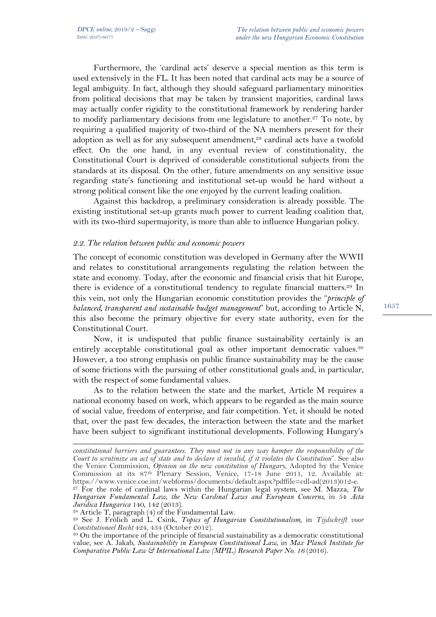Furthermore, the 'cardinal acts' deserve a special mention as this term is used extensively in the FL. It has been noted that cardinal acts may be a source of legal ambiguity. In fact, although they should safeguard parliamentary minorities from political decisions that may be taken by transient majorities, cardinal laws may actually confer rigidity to the constitutional framework by rendering harder to modify parliamentary decisions from one legislature to another. <sup>27</sup> To note, by requiring a qualified majority of two-third of the NA members present for their adoption as well as for any subsequent amendment,<sup>28</sup> cardinal acts have a twofold effect. On the one hand, in any eventual review of constitutionality, the Constitutional Court is deprived of considerable constitutional subjects from the standards at its disposal. On the other, future amendments on any sensitive issue regarding state's functioning and institutional set-up would be hard without a strong political consent like the one enjoyed by the current leading coalition.

Against this backdrop, a preliminary consideration is already possible. The existing institutional set-up grants much power to current leading coalition that, with its two-third supermajority, is more than able to influence Hungarian policy.

#### *2.2. The relation between public and economic powers*

The concept of economic constitution was developed in Germany after the WWII and relates to constitutional arrangements regulating the relation between the state and economy. Today, after the economic and financial crisis that hit Europe, there is evidence of a constitutional tendency to regulate financial matters. <sup>29</sup> In this vein, not only the Hungarian economic constitution provides the "*principle of balanced, transparent and sustainable budget management*" but, according to Article N, this also become the primary objective for every state authority, even for the Constitutional Court.

Now, it is undisputed that public finance sustainability certainly is an entirely acceptable constitutional goal as other important democratic values.<sup>30</sup> However, a too strong emphasis on public finance sustainability may be the cause of some frictions with the pursuing of other constitutional goals and, in particular, with the respect of some fundamental values.

As to the relation between the state and the market, Article M requires a national economy based on work, which appears to be regarded as the main source of social value, freedom of enterprise, and fair competition. Yet, it should be noted that, over the past few decades, the interaction between the state and the market have been subject to significant institutional developments. Following Hungary's

 $\overline{a}$ *constitutional barriers and guarantees. They must not in any way hamper the responsibility of the Court to scrutinize an act of state and to declare it invalid, if it violates the Constitution*". See also the Venice Commission, *Opinion on the new constitution of Hungary*, Adopted by the Venice Commission at its 87<sup>th</sup> Plenary Session, Venice, 17-18 June 2011, 12. Available at:<br>https://www.venice.coe.int/webforms/documents/default.aspx?pdffile=cdl-ad(2013)012-e. https://www.venice.coe.int/webforms/documents/default.aspx?pdffile=cdl-ad(2013)012-e. 27 For the role of cardinal laws within the Hungarian legal system, see M. Mazza, *The* 

*Hungarian Fundamental Law, the New Cardinal Laws and European Concerns*, in 54 *Acta Juridica Hungarica* 140, 142 (2013).

<sup>&</sup>lt;sup>28</sup> Article T, paragraph  $(4)$  of the Fundamental Law.

<sup>29</sup> See J. Frölich and L. Csink, *Topics of Hungarian Constitutionalism*, in *Tijdschrift voor Constitutioneel Recht* 424, 434 (October 2012).

<sup>30</sup> On the importance of the principle of financial sustainability as a democratic constitutional value, see A. Jakab, *Sustainability in European Constitutional Law*, in *Max Planck Institute for Comparative Public Law & International Law (MPIL) Research Paper No. 16* (2016).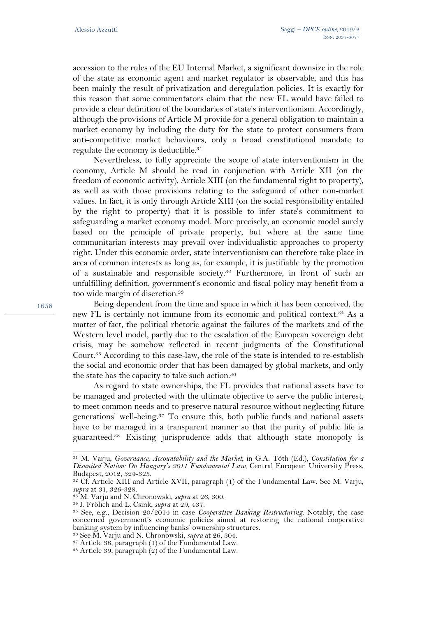accession to the rules of the EU Internal Market, a significant downsize in the role of the state as economic agent and market regulator is observable, and this has been mainly the result of privatization and deregulation policies. It is exactly for this reason that some commentators claim that the new FL would have failed to provide a clear definition of the boundaries of state's interventionism. Accordingly, although the provisions of Article M provide for a general obligation to maintain a market economy by including the duty for the state to protect consumers from anti-competitive market behaviours, only a broad constitutional mandate to regulate the economy is deductible. 31

Nevertheless, to fully appreciate the scope of state interventionism in the economy, Article M should be read in conjunction with Article XII (on the freedom of economic activity), Article XIII (on the fundamental right to property), as well as with those provisions relating to the safeguard of other non-market values. In fact, it is only through Article XIII (on the social responsibility entailed by the right to property) that it is possible to infer state's commitment to safeguarding a market economy model. More precisely, an economic model surely based on the principle of private property, but where at the same time communitarian interests may prevail over individualistic approaches to property right. Under this economic order, state interventionism can therefore take place in area of common interests as long as, for example, it is justifiable by the promotion of a sustainable and responsible society. <sup>32</sup> Furthermore, in front of such an unfulfilling definition, government's economic and fiscal policy may benefit from a too wide margin of discretion.<sup>33</sup>

Being dependent from the time and space in which it has been conceived, the new FL is certainly not immune from its economic and political context. <sup>34</sup> As a matter of fact, the political rhetoric against the failures of the markets and of the Western level model, partly due to the escalation of the European sovereign debt crisis, may be somehow reflected in recent judgments of the Constitutional Court.35 According to this case-law, the role of the state is intended to re-establish the social and economic order that has been damaged by global markets, and only the state has the capacity to take such action.<sup>36</sup>

As regard to state ownerships, the FL provides that national assets have to be managed and protected with the ultimate objective to serve the public interest, to meet common needs and to preserve natural resource without neglecting future generations' well-being.37 To ensure this, both public funds and national assets have to be managed in a transparent manner so that the purity of public life is guaranteed.38 Existing jurisprudence adds that although state monopoly is

 $\overline{a}$ 

<sup>31</sup> M. Varju, *Governance, Accountability and the Market*, in G.A. Tóth (Ed.), *Constitution for a Disunited Nation: On Hungary's 2011 Fundamental Law*, Central European University Press, Budapest, 2012, 324-325.

<sup>32</sup> Cf. Article XIII and Article XVII, paragraph (1) of the Fundamental Law. See M. Varju, *supra* at 31, 326-328.

<sup>33</sup> M. Varju and N. Chronowski, *supra* at 26, 300.

<sup>34</sup> J. Frölich and L. Csink, *supra* at 29, 437.

<sup>35</sup> See, e.g., Decision 20/2014 in case *Cooperative Banking Restructuring*. Notably, the case concerned government's economic policies aimed at restoring the national cooperative

<sup>&</sup>lt;sup>36</sup> See M. Varju and N. Chronowski, *supra* at 26, 304.

<sup>37</sup> Article 38, paragraph (1) of the Fundamental Law.

<sup>&</sup>lt;sup>38</sup> Article 39, paragraph  $(2)$  of the Fundamental Law.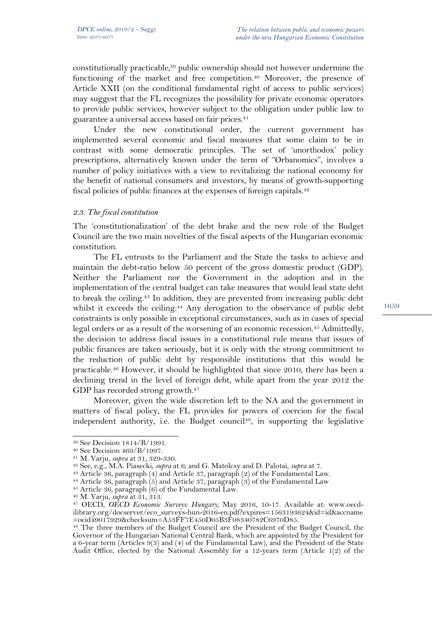constitutionally practicable,<sup>39</sup> public ownership should not however undermine the functioning of the market and free competition.<sup>40</sup> Moreover, the presence of Article XXII (on the conditional fundamental right of access to public services) may suggest that the FL recognizes the possibility for private economic operators to provide public services, however subject to the obligation under public law to guarantee a universal access based on fair prices. 41

Under the new constitutional order, the current government has implemented several economic and fiscal measures that some claim to be in contrast with some democratic principles. The set of 'unorthodox' policy prescriptions, alternatively known under the term of "Orbanomics", involves a number of policy initiatives with a view to revitalizing the national economy for the benefit of national consumers and investors, by means of growth-supporting fiscal policies of public finances at the expenses of foreign capitals.<sup>42</sup>

#### *2.3. The fiscal constitution*

The 'constitutionalization' of the debt brake and the new role of the Budget Council are the two main novelties of the fiscal aspects of the Hungarian economic constitution.

The FL entrusts to the Parliament and the State the tasks to achieve and maintain the debt-ratio below 50 percent of the gross domestic product (GDP). Neither the Parliament nor the Government in the adoption and in the implementation of the central budget can take measures that would lead state debt to break the ceiling.<sup>43</sup> In addition, they are prevented from increasing public debt whilst it exceeds the ceiling.<sup>44</sup> Any derogation to the observance of public debt constraints is only possible in exceptional circumstances, such as in cases of special legal orders or as a result of the worsening of an economic recession.<sup>45</sup> Admittedly, the decision to address fiscal issues in a constitutional rule means that issues of public finances are taken seriously, but it is only with the strong commitment to the reduction of public debt by responsible institutions that this would be practicable. <sup>46</sup> However, it should be highlighted that since 2010, there has been a declining trend in the level of foreign debt, while apart from the year 2012 the GDP has recorded strong growth.<sup>47</sup>

Moreover, given the wide discretion left to the NA and the government in matters of fiscal policy, the FL provides for powers of coercion for the fiscal independent authority, i.e. the Budget council<sup>48</sup>, in supporting the legislative

l

<sup>43</sup> Article 36, paragraph (4) and Article 37, paragraph (2) of the Fundamental Law.

<sup>44</sup> Article 36, paragraph  $(5)$  and Article 37, paragraph  $(3)$  of the Fundamental Law

<sup>39</sup> See Decision 1814/B/1991.

<sup>40</sup> See Decision 469/B/1997.

<sup>41</sup> M. Varju, *supra* at 31, 329-330.

<sup>42</sup> See, e.g., M.A. Piasecki, *supra* at 6; and G. Matolcsy and D. Palotai, *supra* at 7.

 $45$  Article 36, paragraph  $(6)$  of the Fundamental Law.

<sup>46</sup> M. Varju, *supra* at 31, 313.

<sup>47</sup> OECD, *OECD Economic Surveys: Hungary*, May 2016, 10-17. Available at: www.oecdilibrary.org/docserver/eco\_surveys-hun-2016-en.pdf?expires=1563193624&id=id&accname

<sup>&</sup>lt;sup>48</sup> The three members of the Budget Council are the President of the Budget Council, the Governor of the Hungarian National Central Bank, which are appointed by the President for a 6-year term (Articles 9(3) and (4) of the Fundamental Law), and the President of the State Audit Office, elected by the National Assembly for a 12-years term (Article 1(2) of the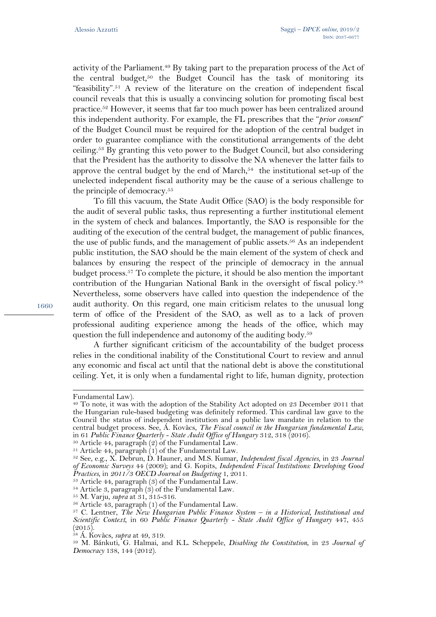activity of the Parliament.<sup>49</sup> By taking part to the preparation process of the Act of the central budget,<sup>50</sup> the Budget Council has the task of monitoring its "feasibility".51 A review of the literature on the creation of independent fiscal council reveals that this is usually a convincing solution for promoting fiscal best practice. <sup>52</sup> However, it seems that far too much power has been centralized around this independent authority. For example, the FL prescribes that the "*prior consent*" of the Budget Council must be required for the adoption of the central budget in order to guarantee compliance with the constitutional arrangements of the debt ceiling.53 By granting this veto power to the Budget Council, but also considering that the President has the authority to dissolve the NA whenever the latter fails to approve the central budget by the end of March, $54$  the institutional set-up of the unelected independent fiscal authority may be the cause of a serious challenge to the principle of democracy.<sup>55</sup>

To fill this vacuum, the State Audit Office (SAO) is the body responsible for the audit of several public tasks, thus representing a further institutional element in the system of check and balances. Importantly, the SAO is responsible for the auditing of the execution of the central budget, the management of public finances, the use of public funds, and the management of public assets.56 As an independent public institution, the SAO should be the main element of the system of check and balances by ensuring the respect of the principle of democracy in the annual budget process. <sup>57</sup> To complete the picture, it should be also mention the important contribution of the Hungarian National Bank in the oversight of fiscal policy. 58 Nevertheless, some observers have called into question the independence of the audit authority. On this regard, one main criticism relates to the unusual long term of office of the President of the SAO, as well as to a lack of proven professional auditing experience among the heads of the office, which may question the full independence and autonomy of the auditing body. 59

A further significant criticism of the accountability of the budget process relies in the conditional inability of the Constitutional Court to review and annul any economic and fiscal act until that the national debt is above the constitutional ceiling. Yet, it is only when a fundamental right to life, human dignity, protection

 $\overline{a}$ 

Fundamental Law).

<sup>&</sup>lt;sup>49</sup> To note, it was with the adoption of the Stability Act adopted on 23 December 2011 that the Hungarian rule-based budgeting was definitely reformed. This cardinal law gave to the Council the status of independent institution and a public law mandate in relation to the central budget process. See, Á. Kovàcs, *The Fiscal council in the Hungarian fundamental Law*, in 61 *Public Finance Quarterly - State Audit Office of Hungary* 312, 318 (2016).

 $50$  Article 44, paragraph (2) of the Fundamental Law.

 $51$  Article 44, paragraph  $(1)$  of the Fundamental Law.

<sup>52</sup> See, e.g., X. Debrun, D. Hauner, and M.S. Kumar, *Independent fiscal Agencies*, in 23 *Journal of Economic Surveys* 44 (2009); and G. Kopits, *Independent Fiscal Institutions: Developing Good Practices*, in *2011/3 OECD Journal on Budgeting* 1, 2011.

<sup>53</sup> Article 44, paragraph (3) of the Fundamental Law.

<sup>54</sup> Article 3, paragraph (3) of the Fundamental Law. 55 M. Varju, *supra* at 31, 315-316.

<sup>56</sup> Article 43, paragraph (1) of the Fundamental Law.

<sup>57</sup> C. Lentner, *The New Hungarian Public Finance System – in a Historical, Institutional and Scientific Context*, in 60 *Public Finance Quarterly - State Audit Office of Hungary* 447, 455  $(2015)$ .

<sup>58</sup> Á. Kovàcs, *supra* at 49, 319.

<sup>59</sup> M. Bánkuti, G. Halmai, and K.L. Scheppele, *Disabling the Constitution*, in 23 *Journal of Democracy* 138, 144 (2012).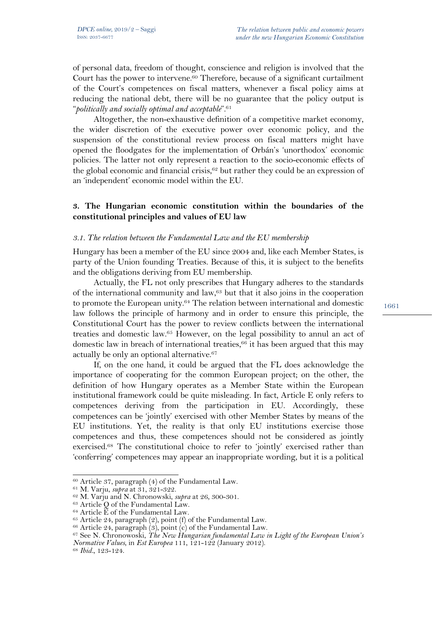of personal data, freedom of thought, conscience and religion is involved that the Court has the power to intervene.<sup>60</sup> Therefore, because of a significant curtailment of the Court's competences on fiscal matters, whenever a fiscal policy aims at reducing the national debt, there will be no guarantee that the policy output is "*politically and socially optimal and acceptable*". 61

Altogether, the non-exhaustive definition of a competitive market economy, the wider discretion of the executive power over economic policy, and the suspension of the constitutional review process on fiscal matters might have opened the floodgates for the implementation of Orbán's 'unorthodox' economic policies. The latter not only represent a reaction to the socio-economic effects of the global economic and financial crisis, <sup>62</sup> but rather they could be an expression of an 'independent' economic model within the EU.

## **3. The Hungarian economic constitution within the boundaries of the constitutional principles and values of EU law**

#### *3.1. The relation between the Fundamental Law and the EU membership*

Hungary has been a member of the EU since 2004 and, like each Member States, is party of the Union founding Treaties. Because of this, it is subject to the benefits and the obligations deriving from EU membership.

Actually, the FL not only prescribes that Hungary adheres to the standards of the international community and law,63 but that it also joins in the cooperation to promote the European unity.64 The relation between international and domestic law follows the principle of harmony and in order to ensure this principle, the Constitutional Court has the power to review conflicts between the international treaties and domestic law.65 However, on the legal possibility to annul an act of domestic law in breach of international treaties, $66$  it has been argued that this may actually be only an optional alternative. 67

If, on the one hand, it could be argued that the FL does acknowledge the importance of cooperating for the common European project; on the other, the definition of how Hungary operates as a Member State within the European institutional framework could be quite misleading. In fact, Article E only refers to competences deriving from the participation in EU. Accordingly, these competences can be 'jointly' exercised with other Member States by means of the EU institutions. Yet, the reality is that only EU institutions exercise those competences and thus, these competences should not be considered as jointly exercised. <sup>68</sup> The constitutional choice to refer to 'jointly' exercised rather than 'conferring' competences may appear an inappropriate wording, but it is a political

<sup>68</sup> *Ibid.*, 123-124.

 $\overline{a}$ <sup>60</sup> Article 37, paragraph (4) of the Fundamental Law.

<sup>61</sup> M. Varju, *supra* at 31, 321-322.

<sup>62</sup> M. Varju and N. Chronowski, *supra* at 26, 300-301.

 $63$  Article Q of the Fundamental Law.

 $64$  Article  $\widetilde{E}$  of the Fundamental Law.

 $65$  Article 24, paragraph (2), point (f) of the Fundamental Law.

 $66$  Article 24, paragraph  $(3)$ , point  $(c)$  of the Fundamental Law.

<sup>67</sup> See N. Chronowoski, *The New Hungarian fundamental Law in Light of the European Union's Normative Values*, in *Est Europea* 111, 121-122 (January 2012).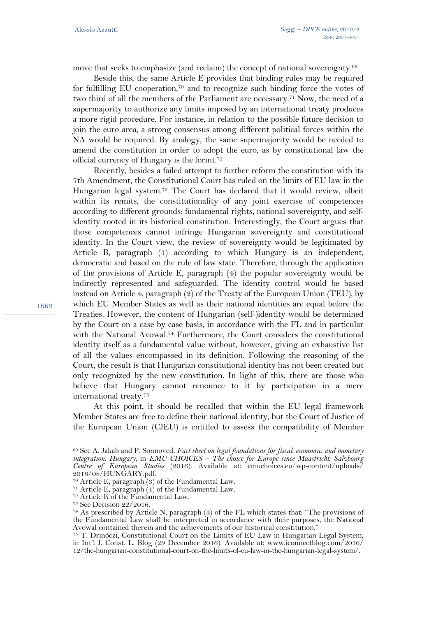1662

move that seeks to emphasize (and reclaim) the concept of national sovereignty. 69

Beside this, the same Article E provides that binding rules may be required for fulfilling EU cooperation,70 and to recognize such binding force the votes of two third of all the members of the Parliament are necessary.<sup>71</sup> Now, the need of a supermajority to authorize any limits imposed by an international treaty produces a more rigid procedure. For instance, in relation to the possible future decision to join the euro area, a strong consensus among different political forces within the NA would be required. By analogy, the same supermajority would be needed to amend the constitution in order to adopt the euro, as by constitutional law the official currency of Hungary is the forint.72

Recently, besides a failed attempt to further reform the constitution with its 7th Amendment, the Constitutional Court has ruled on the limits of EU law in the Hungarian legal system.73 The Court has declared that it would review, albeit within its remits, the constitutionality of any joint exercise of competences according to different grounds: fundamental rights, national sovereignty, and selfidentity rooted in its historical constitution. Interestingly, the Court argues that those competences cannot infringe Hungarian sovereignty and constitutional identity. In the Court view, the review of sovereignty would be legitimated by Article B, paragraph (1) according to which Hungary is an independent, democratic and based on the rule of law state. Therefore, through the application of the provisions of Article E, paragraph (4) the popular sovereignty would be indirectly represented and safeguarded. The identity control would be based instead on Article 4, paragraph (2) of the Treaty of the European Union (TEU), by which EU Member States as well as their national identities are equal before the Treaties. However, the content of Hungarian (self-)identity would be determined by the Court on a case by case basis, in accordance with the FL and in particular with the National Avowal.74 Furthermore, the Court considers the constitutional identity itself as a fundamental value without, however, giving an exhaustive list of all the values encompassed in its definition. Following the reasoning of the Court, the result is that Hungarian constitutional identity has not been created but only recognized by the new constitution. In light of this, there are those who believe that Hungary cannot renounce to it by participation in a mere international treaty. 75

At this point, it should be recalled that within the EU legal framework Member States are free to define their national identity, but the Court of Justice of the European Union (CJEU) is entitled to assess the compatibility of Member

 $\overline{a}$ 

<sup>69</sup> See A. Jakab and P. Sonnoved, *Fact sheet on legal foundations for fiscal, economic, and monetary integration. Hungary*, in *EMU CHOICES – The choice for Europe since Maastricht, Salzbourg Centre of European Studies* (2016). Available at: emuchoices.eu/wp-content/uploads/ 2016/08/HUNGARY.pdf.

<sup>&</sup>lt;sup>70</sup> Article E, paragraph  $(3)$  of the Fundamental Law.

<sup>71</sup> Article E, paragraph (4) of the Fundamental Law.

<sup>72</sup> Article K of the Fundamental Law.

<sup>73</sup> See Decision 22/2016.

<sup>74</sup> As prescribed by Article N, paragraph (3) of the FL which states that: "The provisions of the Fundamental Law shall be interpreted in accordance with their purposes, the National Avowal contained therein and the achievements of our historical constitution."

<sup>75</sup> T. Drinóczi, Constitutional Court on the Limits of EU Law in Hungarian Legal System, in Int'l J. Const. L. Blog (29 December 2016). Available at: www.iconnectblog.com/2016/ 12/the-hungarian-constitutional-court-on-the-limits-of-eu-law-in-the-hungarian-legal-system/.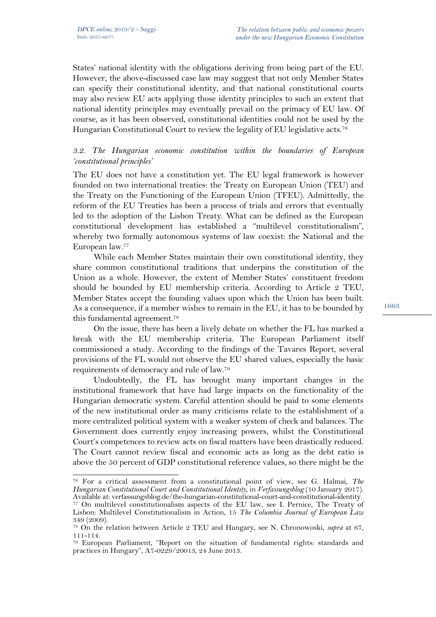States' national identity with the obligations deriving from being part of the EU. However, the above-discussed case law may suggest that not only Member States can specify their constitutional identity, and that national constitutional courts may also review EU acts applying those identity principles to such an extent that national identity principles may eventually prevail on the primacy of EU law. Of course, as it has been observed, constitutional identities could not be used by the Hungarian Constitutional Court to review the legality of EU legislative acts.<sup>76</sup>

## *3.2. The Hungarian economic constitution within the boundaries of European 'constitutional principles'*

The EU does not have a constitution yet. The EU legal framework is however founded on two international treaties: the Treaty on European Union (TEU) and the Treaty on the Functioning of the European Union (TFEU). Admittedly, the reform of the EU Treaties has been a process of trials and errors that eventually led to the adoption of the Lisbon Treaty. What can be defined as the European constitutional development has established a "multilevel constitutionalism", whereby two formally autonomous systems of law coexist: the National and the European law.77

While each Member States maintain their own constitutional identity, they share common constitutional traditions that underpins the constitution of the Union as a whole. However, the extent of Member States' constituent freedom should be bounded by EU membership criteria. According to Article 2 TEU, Member States accept the founding values upon which the Union has been built. As a consequence, if a member wishes to remain in the EU, it has to be bounded by this fundamental agreement. 78

On the issue, there has been a lively debate on whether the FL has marked a break with the EU membership criteria. The European Parliament itself commissioned a study. According to the findings of the Tavares Report, several provisions of the FL would not observe the EU shared values, especially the basic requirements of democracy and rule of law.79

Undoubtedly, the FL has brought many important changes in the institutional framework that have had large impacts on the functionality of the Hungarian democratic system. Careful attention should be paid to some elements of the new institutional order as many criticisms relate to the establishment of a more centralized political system with a weaker system of check and balances. The Government does currently enjoy increasing powers, whilst the Constitutional Court's competences to review acts on fiscal matters have been drastically reduced. The Court cannot review fiscal and economic acts as long as the debt ratio is above the 50 percent of GDP constitutional reference values, so there might be the

 $\overline{a}$ <sup>76</sup> For a critical assessment from a constitutional point of view, see G. Halmai, *The Hungarian Constitutional Court and Constitutional Identity*, in *Verfassungsblog* (10 January 2017).

<sup>&</sup>lt;sup>77</sup> On multilevel constitutionalism aspects of the EU law, see I. Pernice, The Treaty of Lisbon: Multilevel Constitutionalism in Action, 15 *The Columbia Journal of European Law* 349 (2009).

<sup>78</sup> On the relation between Article 2 TEU and Hungary, see N. Chronowoski, *supra* at 67, 111-114.

<sup>79</sup> European Parliament, "Report on the situation of fundamental rights: standards and practices in Hungary", A7-0229/20013, 24 June 2013.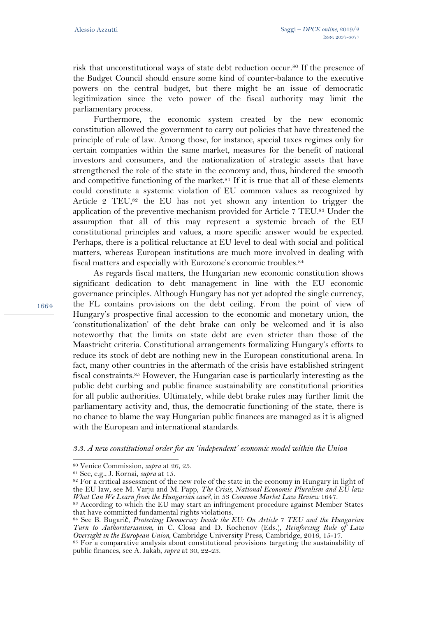risk that unconstitutional ways of state debt reduction occur. <sup>80</sup> If the presence of the Budget Council should ensure some kind of counter-balance to the executive powers on the central budget, but there might be an issue of democratic legitimization since the veto power of the fiscal authority may limit the parliamentary process.

Furthermore, the economic system created by the new economic constitution allowed the government to carry out policies that have threatened the principle of rule of law. Among those, for instance, special taxes regimes only for certain companies within the same market, measures for the benefit of national investors and consumers, and the nationalization of strategic assets that have strengthened the role of the state in the economy and, thus, hindered the smooth and competitive functioning of the market.<sup>81</sup> If it is true that all of these elements could constitute a systemic violation of EU common values as recognized by Article 2 TEU,<sup>82</sup> the EU has not yet shown any intention to trigger the application of the preventive mechanism provided for Article 7 TEU.<sup>83</sup> Under the assumption that all of this may represent a systemic breach of the EU constitutional principles and values, a more specific answer would be expected. Perhaps, there is a political reluctance at EU level to deal with social and political matters, whereas European institutions are much more involved in dealing with fiscal matters and especially with Eurozone's economic troubles.<sup>84</sup>

As regards fiscal matters, the Hungarian new economic constitution shows significant dedication to debt management in line with the EU economic governance principles. Although Hungary has not yet adopted the single currency, the FL contains provisions on the debt ceiling. From the point of view of Hungary's prospective final accession to the economic and monetary union, the 'constitutionalization' of the debt brake can only be welcomed and it is also noteworthy that the limits on state debt are even stricter than those of the Maastricht criteria. Constitutional arrangements formalizing Hungary's efforts to reduce its stock of debt are nothing new in the European constitutional arena. In fact, many other countries in the aftermath of the crisis have established stringent fiscal constraints.<sup>85</sup> However, the Hungarian case is particularly interesting as the public debt curbing and public finance sustainability are constitutional priorities for all public authorities. Ultimately, while debt brake rules may further limit the parliamentary activity and, thus, the democratic functioning of the state, there is no chance to blame the way Hungarian public finances are managed as it is aligned with the European and international standards.

*3.3. A new constitutional order for an 'independent' economic model within the Union*

l

<sup>80</sup> Venice Commission, *supra* at 26, 25.

<sup>81</sup> See, e.g., J. Kornai, *supra* at 15.

<sup>82</sup> For a critical assessment of the new role of the state in the economy in Hungary in light of the EU law, see M. Varju and M. Papp, *The Crisis, National Economic Pluralism and EU law: What Can We Learn from the Hungarian case?,* in 53 *Common Market Law Review* 1647.

<sup>83</sup> According to which the EU may start an infringement procedure against Member States that have committed fundamental rights violations.

<sup>84</sup> See B. Bugarič, *Protecting Democracy Inside the EU: On Article 7 TEU and the Hungarian Turn to Authoritarianism*, in C. Closa and D. Kochenov (Eds.), *Reinforcing Rule of Law Oversight in the European Union*, Cambridge University Press, Cambridge, 2016, 15-17.

<sup>85</sup> For a comparative analysis about constitutional provisions targeting the sustainability of public finances, see A. Jakab, *supra* at 30, 22-23.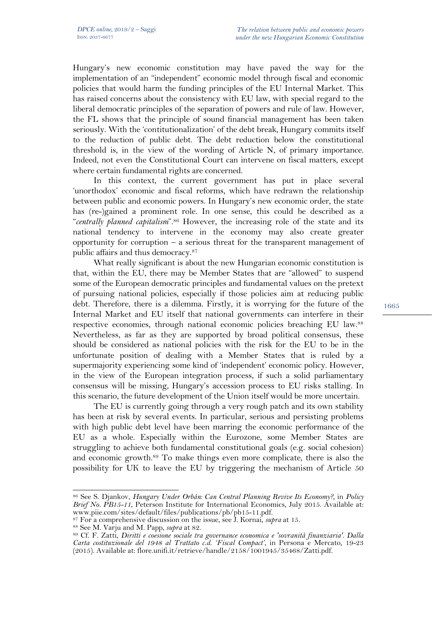Hungary's new economic constitution may have paved the way for the implementation of an "independent" economic model through fiscal and economic policies that would harm the funding principles of the EU Internal Market. This has raised concerns about the consistency with EU law, with special regard to the liberal democratic principles of the separation of powers and rule of law. However, the FL shows that the principle of sound financial management has been taken seriously. With the 'contitutionalization' of the debt break, Hungary commits itself to the reduction of public debt. The debt reduction below the constitutional threshold is, in the view of the wording of Article N, of primary importance. Indeed, not even the Constitutional Court can intervene on fiscal matters, except where certain fundamental rights are concerned.

In this context, the current government has put in place several 'unorthodox' economic and fiscal reforms, which have redrawn the relationship between public and economic powers. In Hungary's new economic order, the state has (re-)gained a prominent role. In one sense, this could be described as a "centrally planned capitalism<sup>" 86</sup> However, the increasing role of the state and its national tendency to intervene in the economy may also create greater opportunity for corruption  $-$  a serious threat for the transparent management of public affairs and thus democracy. 87

What really significant is about the new Hungarian economic constitution is that, within the EU, there may be Member States that are "allowed" to suspend some of the European democratic principles and fundamental values on the pretext of pursuing national policies, especially if those policies aim at reducing public debt. Therefore, there is a dilemma. Firstly, it is worrying for the future of the Internal Market and EU itself that national governments can interfere in their respective economies, through national economic policies breaching EU law.<sup>88</sup> Nevertheless, as far as they are supported by broad political consensus, these should be considered as national policies with the risk for the EU to be in the unfortunate position of dealing with a Member States that is ruled by a supermajority experiencing some kind of 'independent' economic policy. However, in the view of the European integration process, if such a solid parliamentary consensus will be missing, Hungary's accession process to EU risks stalling. In this scenario, the future development of the Union itself would be more uncertain.

The EU is currently going through a very rough patch and its own stability has been at risk by several events. In particular, serious and persisting problems with high public debt level have been marring the economic performance of the EU as a whole. Especially within the Eurozone, some Member States are struggling to achieve both fundamental constitutional goals (e.g. social cohesion) and economic growth. <sup>89</sup> To make things even more complicate, there is also the possibility for UK to leave the EU by triggering the mechanism of Article 50

l

<sup>86</sup> See S. Djankov, *Hungary Under Orbán: Can Central Planning Revive Its Economy?*, in *Policy Brief No. PB15-11*, Peterson Institute for International Economics, July 2015. Available at: www.piie.com/sites/default/files/publications/pb/pb15-11.pdf. 87 For a comprehensive discussion on the issue, see J. Kornai, *supra* at 15.

<sup>88</sup> See M. Varju and M. Papp, *supra* at 82.

<sup>89</sup> Cf. F. Zatti, *Diritti e coesione sociale tra governance economica e 'sovranità finanziaria'. Dalla Carta costituzionale del 1948 al Trattato c.d. 'Fiscal Compact'*, in Persona e Mercato, 19-23 (2015). Available at: flore.unifi.it/retrieve/handle/2158/1001945/35468/Zatti.pdf.